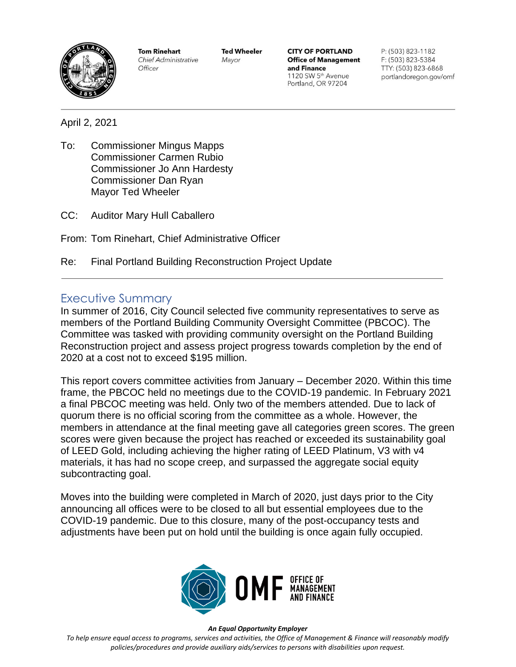

**Tom Rinehart** Chief Administrative Officer

**Ted Wheeler** Mayor

**CITY OF PORTLAND Office of Management** and Finance 1120 SW 5<sup>th</sup> Avenue Portland, OR 97204

P: (503) 823-1182 F: (503) 823-5384 TTY: (503) 823-6868 portlandoregon.gov/omf

April 2, 2021

- To: Commissioner Mingus Mapps Commissioner Carmen Rubio Commissioner Jo Ann Hardesty Commissioner Dan Ryan Mayor Ted Wheeler
- CC: Auditor Mary Hull Caballero
- From: Tom Rinehart, Chief Administrative Officer
- Re: Final Portland Building Reconstruction Project Update

### Executive Summary

In summer of 2016, City Council selected five community representatives to serve as members of the Portland Building Community Oversight Committee (PBCOC). The Committee was tasked with providing community oversight on the Portland Building Reconstruction project and assess project progress towards completion by the end of 2020 at a cost not to exceed \$195 million.

This report covers committee activities from January – December 2020. Within this time frame, the PBCOC held no meetings due to the COVID-19 pandemic. In February 2021 a final PBCOC meeting was held. Only two of the members attended. Due to lack of quorum there is no official scoring from the committee as a whole. However, the members in attendance at the final meeting gave all categories green scores. The green scores were given because the project has reached or exceeded its sustainability goal of LEED Gold, including achieving the higher rating of LEED Platinum, V3 with v4 materials, it has had no scope creep, and surpassed the aggregate social equity subcontracting goal.

Moves into the building were completed in March of 2020, just days prior to the City announcing all offices were to be closed to all but essential employees due to the COVID-19 pandemic. Due to this closure, many of the post-occupancy tests and adjustments have been put on hold until the building is once again fully occupied.



#### *An Equal Opportunity Employer*

*To help ensure equal access to programs, services and activities, the Office of Management & Finance will reasonably modify policies/procedures and provide auxiliary aids/services to persons with disabilities upon request.*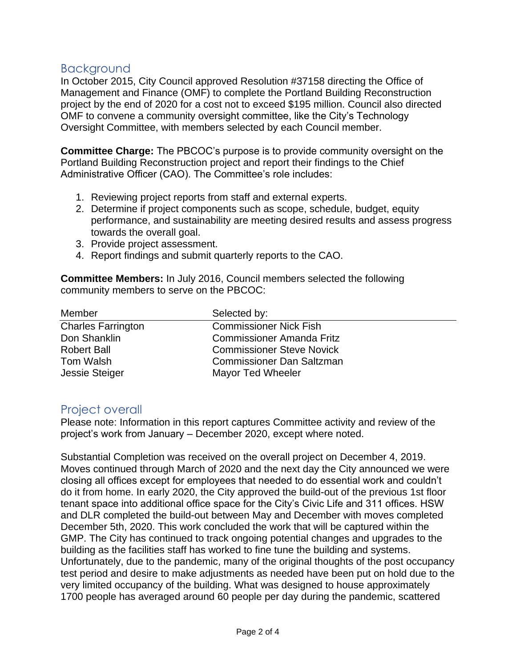### Background

In October 2015, City Council approved Resolution #37158 directing the Office of Management and Finance (OMF) to complete the Portland Building Reconstruction project by the end of 2020 for a cost not to exceed \$195 million. Council also directed OMF to convene a community oversight committee, like the City's Technology Oversight Committee, with members selected by each Council member.

**Committee Charge:** The PBCOC's purpose is to provide community oversight on the Portland Building Reconstruction project and report their findings to the Chief Administrative Officer (CAO). The Committee's role includes:

- 1. Reviewing project reports from staff and external experts.
- 2. Determine if project components such as scope, schedule, budget, equity performance, and sustainability are meeting desired results and assess progress towards the overall goal.
- 3. Provide project assessment.
- 4. Report findings and submit quarterly reports to the CAO.

**Committee Members:** In July 2016, Council members selected the following community members to serve on the PBCOC:

| Member                    | Selected by:                     |
|---------------------------|----------------------------------|
| <b>Charles Farrington</b> | <b>Commissioner Nick Fish</b>    |
| Don Shanklin              | <b>Commissioner Amanda Fritz</b> |
| <b>Robert Ball</b>        | <b>Commissioner Steve Novick</b> |
| Tom Walsh                 | <b>Commissioner Dan Saltzman</b> |
| <b>Jessie Steiger</b>     | <b>Mayor Ted Wheeler</b>         |

# Project overall

Please note: Information in this report captures Committee activity and review of the project's work from January – December 2020, except where noted.

Substantial Completion was received on the overall project on December 4, 2019. Moves continued through March of 2020 and the next day the City announced we were closing all offices except for employees that needed to do essential work and couldn't do it from home. In early 2020, the City approved the build-out of the previous 1st floor tenant space into additional office space for the City's Civic Life and 311 offices. HSW and DLR completed the build-out between May and December with moves completed December 5th, 2020. This work concluded the work that will be captured within the GMP. The City has continued to track ongoing potential changes and upgrades to the building as the facilities staff has worked to fine tune the building and systems. Unfortunately, due to the pandemic, many of the original thoughts of the post occupancy test period and desire to make adjustments as needed have been put on hold due to the very limited occupancy of the building. What was designed to house approximately 1700 people has averaged around 60 people per day during the pandemic, scattered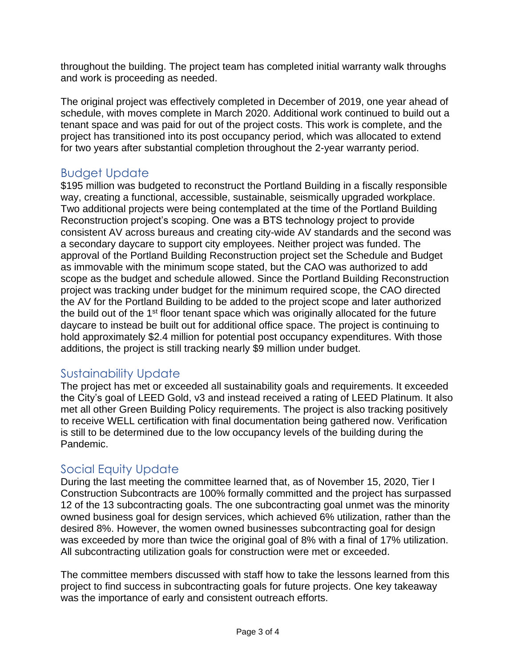throughout the building. The project team has completed initial warranty walk throughs and work is proceeding as needed.

The original project was effectively completed in December of 2019, one year ahead of schedule, with moves complete in March 2020. Additional work continued to build out a tenant space and was paid for out of the project costs. This work is complete, and the project has transitioned into its post occupancy period, which was allocated to extend for two years after substantial completion throughout the 2-year warranty period.

# Budget Update

\$195 million was budgeted to reconstruct the Portland Building in a fiscally responsible way, creating a functional, accessible, sustainable, seismically upgraded workplace. Two additional projects were being contemplated at the time of the Portland Building Reconstruction project's scoping. One was a BTS technology project to provide consistent AV across bureaus and creating city-wide AV standards and the second was a secondary daycare to support city employees. Neither project was funded. The approval of the Portland Building Reconstruction project set the Schedule and Budget as immovable with the minimum scope stated, but the CAO was authorized to add scope as the budget and schedule allowed. Since the Portland Building Reconstruction project was tracking under budget for the minimum required scope, the CAO directed the AV for the Portland Building to be added to the project scope and later authorized the build out of the 1<sup>st</sup> floor tenant space which was originally allocated for the future daycare to instead be built out for additional office space. The project is continuing to hold approximately \$2.4 million for potential post occupancy expenditures. With those additions, the project is still tracking nearly \$9 million under budget.

# Sustainability Update

The project has met or exceeded all sustainability goals and requirements. It exceeded the City's goal of LEED Gold, v3 and instead received a rating of LEED Platinum. It also met all other Green Building Policy requirements. The project is also tracking positively to receive WELL certification with final documentation being gathered now. Verification is still to be determined due to the low occupancy levels of the building during the Pandemic.

# Social Equity Update

During the last meeting the committee learned that, as of November 15, 2020, Tier I Construction Subcontracts are 100% formally committed and the project has surpassed 12 of the 13 subcontracting goals. The one subcontracting goal unmet was the minority owned business goal for design services, which achieved 6% utilization, rather than the desired 8%. However, the women owned businesses subcontracting goal for design was exceeded by more than twice the original goal of 8% with a final of 17% utilization. All subcontracting utilization goals for construction were met or exceeded.

The committee members discussed with staff how to take the lessons learned from this project to find success in subcontracting goals for future projects. One key takeaway was the importance of early and consistent outreach efforts.